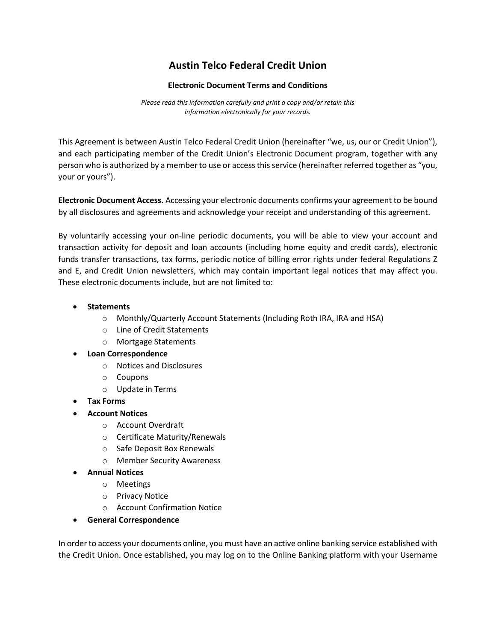## **Austin Telco Federal Credit Union**

## **Electronic Document Terms and Conditions**

*Please read this information carefully and print a copy and/or retain this information electronically for your records.*

This Agreement is between Austin Telco Federal Credit Union (hereinafter "we, us, our or Credit Union"), and each participating member of the Credit Union's Electronic Document program, together with any person who is authorized by a member to use or access this service (hereinafter referred together as "you, your or yours").

**Electronic Document Access.** Accessing your electronic documents confirms your agreement to be bound by all disclosures and agreements and acknowledge your receipt and understanding of this agreement.

By voluntarily accessing your on-line periodic documents, you will be able to view your account and transaction activity for deposit and loan accounts (including home equity and credit cards), electronic funds transfer transactions, tax forms, periodic notice of billing error rights under federal Regulations Z and E, and Credit Union newsletters, which may contain important legal notices that may affect you. These electronic documents include, but are not limited to:

- **Statements**
	- o Monthly/Quarterly Account Statements (Including Roth IRA, IRA and HSA)
	- o Line of Credit Statements
	- o Mortgage Statements
- **Loan Correspondence**
	- o Notices and Disclosures
	- o Coupons
	- o Update in Terms
- **Tax Forms**
- **Account Notices**
	- o Account Overdraft
	- o Certificate Maturity/Renewals
	- o Safe Deposit Box Renewals
	- o Member Security Awareness
- **Annual Notices**
	- o Meetings
	- o Privacy Notice
	- o Account Confirmation Notice
- **General Correspondence**

In order to access your documents online, you must have an active online banking service established with the Credit Union. Once established, you may log on to the Online Banking platform with your Username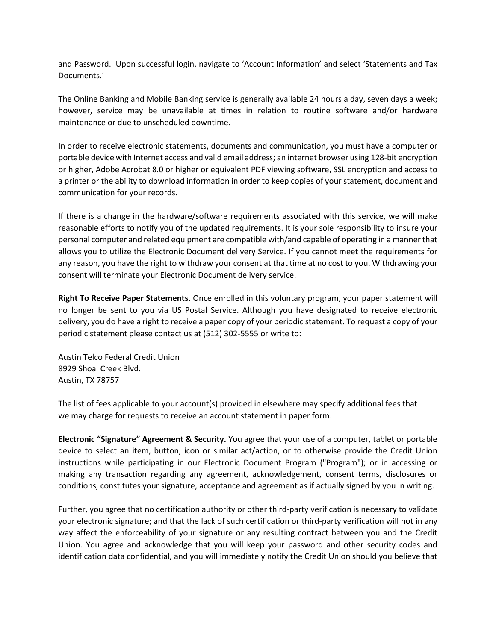and Password. Upon successful login, navigate to 'Account Information' and select 'Statements and Tax Documents.'

The Online Banking and Mobile Banking service is generally available 24 hours a day, seven days a week; however, service may be unavailable at times in relation to routine software and/or hardware maintenance or due to unscheduled downtime.

In order to receive electronic statements, documents and communication, you must have a computer or portable device with Internet access and valid email address; an internet browser using 128-bit encryption or higher, Adobe Acrobat 8.0 or higher or equivalent PDF viewing software, SSL encryption and access to a printer or the ability to download information in order to keep copies of your statement, document and communication for your records.

If there is a change in the hardware/software requirements associated with this service, we will make reasonable efforts to notify you of the updated requirements. It is your sole responsibility to insure your personal computer and related equipment are compatible with/and capable of operating in a manner that allows you to utilize the Electronic Document delivery Service. If you cannot meet the requirements for any reason, you have the right to withdraw your consent at that time at no cost to you. Withdrawing your consent will terminate your Electronic Document delivery service.

**Right To Receive Paper Statements.** Once enrolled in this voluntary program, your paper statement will no longer be sent to you via US Postal Service. Although you have designated to receive electronic delivery, you do have a right to receive a paper copy of your periodic statement. To request a copy of your periodic statement please contact us at (512) 302-5555 or write to:

Austin Telco Federal Credit Union 8929 Shoal Creek Blvd. Austin, TX 78757

The list of fees applicable to your account(s) provided in elsewhere may specify additional fees that we may charge for requests to receive an account statement in paper form.

**Electronic "Signature" Agreement & Security.** You agree that your use of a computer, tablet or portable device to select an item, button, icon or similar act/action, or to otherwise provide the Credit Union instructions while participating in our Electronic Document Program ("Program"); or in accessing or making any transaction regarding any agreement, acknowledgement, consent terms, disclosures or conditions, constitutes your signature, acceptance and agreement as if actually signed by you in writing.

Further, you agree that no certification authority or other third-party verification is necessary to validate your electronic signature; and that the lack of such certification or third-party verification will not in any way affect the enforceability of your signature or any resulting contract between you and the Credit Union. You agree and acknowledge that you will keep your password and other security codes and identification data confidential, and you will immediately notify the Credit Union should you believe that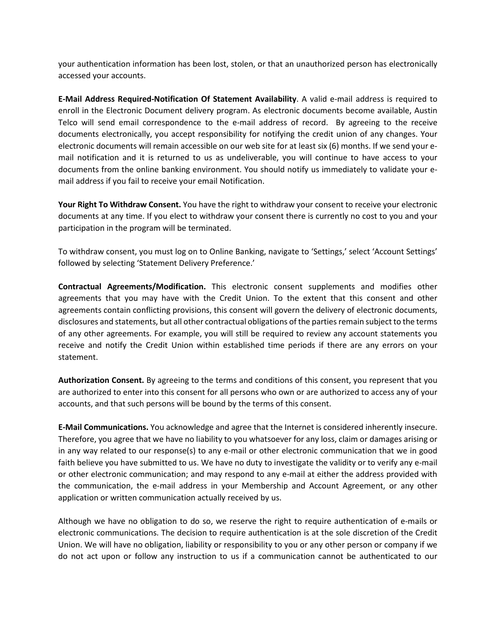your authentication information has been lost, stolen, or that an unauthorized person has electronically accessed your accounts.

**E-Mail Address Required-Notification Of Statement Availability**. A valid e-mail address is required to enroll in the Electronic Document delivery program. As electronic documents become available, Austin Telco will send email correspondence to the e-mail address of record. By agreeing to the receive documents electronically, you accept responsibility for notifying the credit union of any changes. Your electronic documents will remain accessible on our web site for at least six (6) months. If we send your email notification and it is returned to us as undeliverable, you will continue to have access to your documents from the online banking environment. You should notify us immediately to validate your email address if you fail to receive your email Notification.

**Your Right To Withdraw Consent.** You have the right to withdraw your consent to receive your electronic documents at any time. If you elect to withdraw your consent there is currently no cost to you and your participation in the program will be terminated.

To withdraw consent, you must log on to Online Banking, navigate to 'Settings,' select 'Account Settings' followed by selecting 'Statement Delivery Preference.'

**Contractual Agreements/Modification.** This electronic consent supplements and modifies other agreements that you may have with the Credit Union. To the extent that this consent and other agreements contain conflicting provisions, this consent will govern the delivery of electronic documents, disclosures and statements, but all other contractual obligations of the parties remain subject to the terms of any other agreements. For example, you will still be required to review any account statements you receive and notify the Credit Union within established time periods if there are any errors on your statement.

**Authorization Consent.** By agreeing to the terms and conditions of this consent, you represent that you are authorized to enter into this consent for all persons who own or are authorized to access any of your accounts, and that such persons will be bound by the terms of this consent.

**E-Mail Communications.** You acknowledge and agree that the Internet is considered inherently insecure. Therefore, you agree that we have no liability to you whatsoever for any loss, claim or damages arising or in any way related to our response(s) to any e-mail or other electronic communication that we in good faith believe you have submitted to us. We have no duty to investigate the validity or to verify any e-mail or other electronic communication; and may respond to any e-mail at either the address provided with the communication, the e-mail address in your Membership and Account Agreement, or any other application or written communication actually received by us.

Although we have no obligation to do so, we reserve the right to require authentication of e-mails or electronic communications. The decision to require authentication is at the sole discretion of the Credit Union. We will have no obligation, liability or responsibility to you or any other person or company if we do not act upon or follow any instruction to us if a communication cannot be authenticated to our